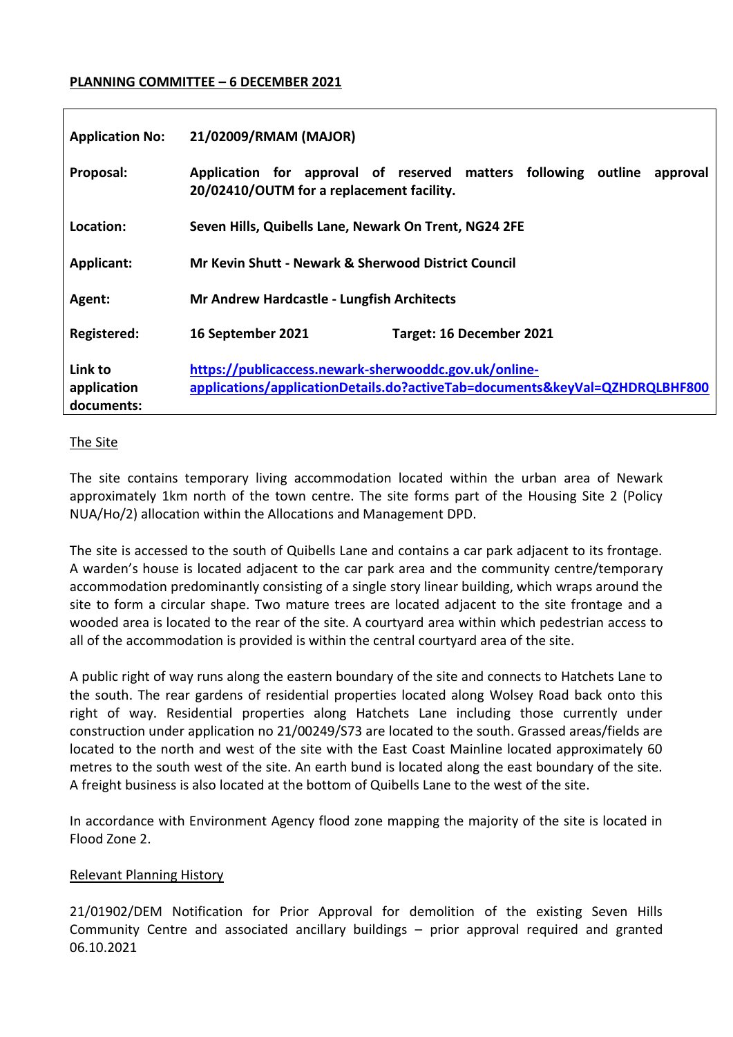### **PLANNING COMMITTEE – 6 DECEMBER 2021**

| <b>Application No:</b>               | 21/02009/RMAM (MAJOR)                                                                                                                |
|--------------------------------------|--------------------------------------------------------------------------------------------------------------------------------------|
| Proposal:                            | Application for approval of reserved matters following outline<br>approval<br>20/02410/OUTM for a replacement facility.              |
| Location:                            | Seven Hills, Quibells Lane, Newark On Trent, NG24 2FE                                                                                |
| Applicant:                           | Mr Kevin Shutt - Newark & Sherwood District Council                                                                                  |
| Agent:                               | <b>Mr Andrew Hardcastle - Lungfish Architects</b>                                                                                    |
| Registered:                          | 16 September 2021<br>Target: 16 December 2021                                                                                        |
| Link to<br>application<br>documents: | https://publicaccess.newark-sherwooddc.gov.uk/online-<br>applications/applicationDetails.do?activeTab=documents&keyVal=QZHDRQLBHF800 |

#### The Site

The site contains temporary living accommodation located within the urban area of Newark approximately 1km north of the town centre. The site forms part of the Housing Site 2 (Policy NUA/Ho/2) allocation within the Allocations and Management DPD.

The site is accessed to the south of Quibells Lane and contains a car park adjacent to its frontage. A warden's house is located adjacent to the car park area and the community centre/temporary accommodation predominantly consisting of a single story linear building, which wraps around the site to form a circular shape. Two mature trees are located adjacent to the site frontage and a wooded area is located to the rear of the site. A courtyard area within which pedestrian access to all of the accommodation is provided is within the central courtyard area of the site.

A public right of way runs along the eastern boundary of the site and connects to Hatchets Lane to the south. The rear gardens of residential properties located along Wolsey Road back onto this right of way. Residential properties along Hatchets Lane including those currently under construction under application no 21/00249/S73 are located to the south. Grassed areas/fields are located to the north and west of the site with the East Coast Mainline located approximately 60 metres to the south west of the site. An earth bund is located along the east boundary of the site. A freight business is also located at the bottom of Quibells Lane to the west of the site.

In accordance with Environment Agency flood zone mapping the majority of the site is located in Flood Zone 2.

#### Relevant Planning History

21/01902/DEM Notification for Prior Approval for demolition of the existing Seven Hills Community Centre and associated ancillary buildings – prior approval required and granted 06.10.2021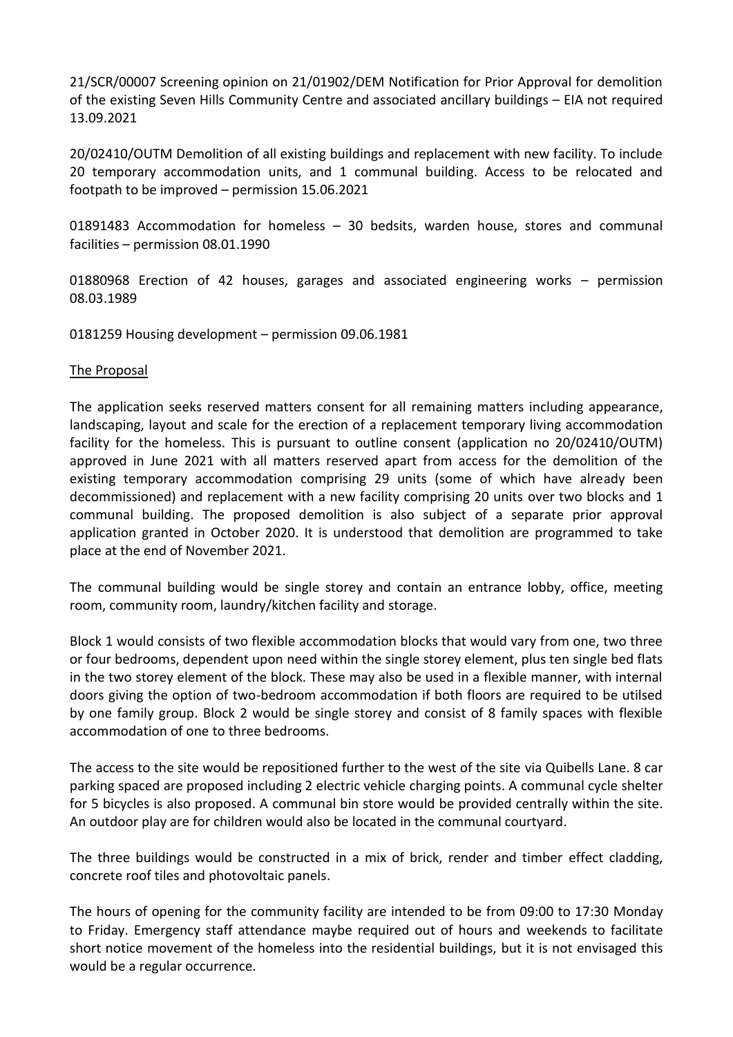21/SCR/00007 Screening opinion on 21/01902/DEM Notification for Prior Approval for demolition of the existing Seven Hills Community Centre and associated ancillary buildings – EIA not required 13.09.2021

20/02410/OUTM Demolition of all existing buildings and replacement with new facility. To include 20 temporary accommodation units, and 1 communal building. Access to be relocated and footpath to be improved – permission 15.06.2021

01891483 Accommodation for homeless – 30 bedsits, warden house, stores and communal facilities – permission 08.01.1990

01880968 Erection of 42 houses, garages and associated engineering works – permission 08.03.1989

0181259 Housing development – permission 09.06.1981

#### The Proposal

The application seeks reserved matters consent for all remaining matters including appearance, landscaping, layout and scale for the erection of a replacement temporary living accommodation facility for the homeless. This is pursuant to outline consent (application no 20/02410/OUTM) approved in June 2021 with all matters reserved apart from access for the demolition of the existing temporary accommodation comprising 29 units (some of which have already been decommissioned) and replacement with a new facility comprising 20 units over two blocks and 1 communal building. The proposed demolition is also subject of a separate prior approval application granted in October 2020. It is understood that demolition are programmed to take place at the end of November 2021.

The communal building would be single storey and contain an entrance lobby, office, meeting room, community room, laundry/kitchen facility and storage.

Block 1 would consists of two flexible accommodation blocks that would vary from one, two three or four bedrooms, dependent upon need within the single storey element, plus ten single bed flats in the two storey element of the block. These may also be used in a flexible manner, with internal doors giving the option of two-bedroom accommodation if both floors are required to be utilsed by one family group. Block 2 would be single storey and consist of 8 family spaces with flexible accommodation of one to three bedrooms.

The access to the site would be repositioned further to the west of the site via Quibells Lane. 8 car parking spaced are proposed including 2 electric vehicle charging points. A communal cycle shelter for 5 bicycles is also proposed. A communal bin store would be provided centrally within the site. An outdoor play are for children would also be located in the communal courtyard.

The three buildings would be constructed in a mix of brick, render and timber effect cladding, concrete roof tiles and photovoltaic panels.

The hours of opening for the community facility are intended to be from 09:00 to 17:30 Monday to Friday. Emergency staff attendance maybe required out of hours and weekends to facilitate short notice movement of the homeless into the residential buildings, but it is not envisaged this would be a regular occurrence.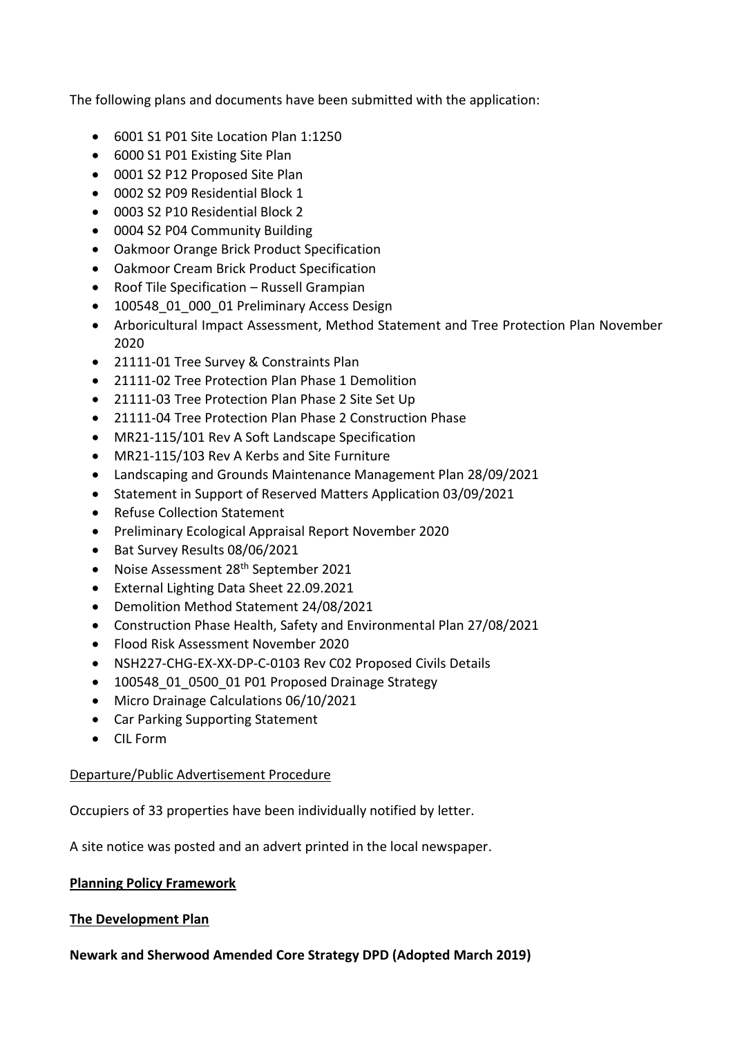The following plans and documents have been submitted with the application:

- 6001 S1 P01 Site Location Plan 1:1250
- 6000 S1 P01 Existing Site Plan
- 0001 S2 P12 Proposed Site Plan
- 0002 S2 P09 Residential Block 1
- 0003 S2 P10 Residential Block 2
- 0004 S2 P04 Community Building
- Oakmoor Orange Brick Product Specification
- Oakmoor Cream Brick Product Specification
- Roof Tile Specification Russell Grampian
- 100548 01 000 01 Preliminary Access Design
- Arboricultural Impact Assessment, Method Statement and Tree Protection Plan November 2020
- 21111-01 Tree Survey & Constraints Plan
- 21111-02 Tree Protection Plan Phase 1 Demolition
- 21111-03 Tree Protection Plan Phase 2 Site Set Up
- 21111-04 Tree Protection Plan Phase 2 Construction Phase
- MR21-115/101 Rev A Soft Landscape Specification
- MR21-115/103 Rev A Kerbs and Site Furniture
- Landscaping and Grounds Maintenance Management Plan 28/09/2021
- Statement in Support of Reserved Matters Application 03/09/2021
- Refuse Collection Statement
- Preliminary Ecological Appraisal Report November 2020
- Bat Survey Results 08/06/2021
- Noise Assessment 28<sup>th</sup> September 2021
- External Lighting Data Sheet 22.09.2021
- Demolition Method Statement 24/08/2021
- Construction Phase Health, Safety and Environmental Plan 27/08/2021
- Flood Risk Assessment November 2020
- NSH227-CHG-EX-XX-DP-C-0103 Rev C02 Proposed Civils Details
- 100548 01 0500 01 P01 Proposed Drainage Strategy
- Micro Drainage Calculations 06/10/2021
- Car Parking Supporting Statement
- CIL Form

## Departure/Public Advertisement Procedure

Occupiers of 33 properties have been individually notified by letter.

A site notice was posted and an advert printed in the local newspaper.

## **Planning Policy Framework**

## **The Development Plan**

**Newark and Sherwood Amended Core Strategy DPD (Adopted March 2019)**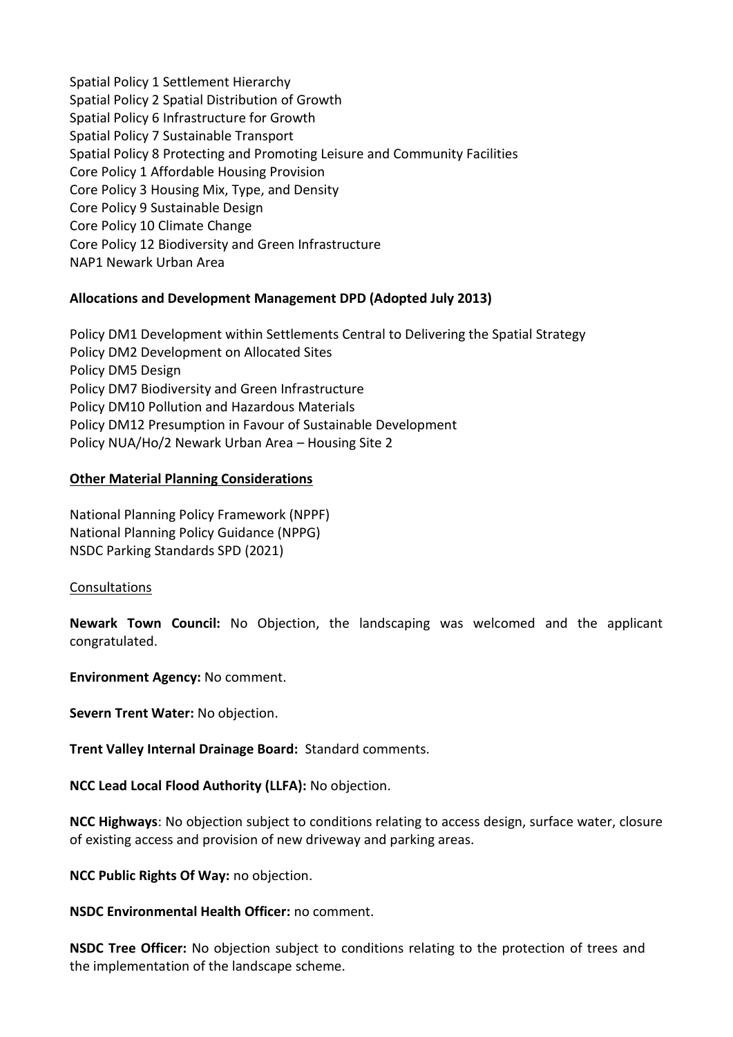Spatial Policy 1 Settlement Hierarchy Spatial Policy 2 Spatial Distribution of Growth Spatial Policy 6 Infrastructure for Growth Spatial Policy 7 Sustainable Transport Spatial Policy 8 Protecting and Promoting Leisure and Community Facilities Core Policy 1 Affordable Housing Provision Core Policy 3 Housing Mix, Type, and Density Core Policy 9 Sustainable Design Core Policy 10 Climate Change Core Policy 12 Biodiversity and Green Infrastructure NAP1 Newark Urban Area

## **Allocations and Development Management DPD (Adopted July 2013)**

Policy DM1 Development within Settlements Central to Delivering the Spatial Strategy Policy DM2 Development on Allocated Sites Policy DM5 Design Policy DM7 Biodiversity and Green Infrastructure Policy DM10 Pollution and Hazardous Materials Policy DM12 Presumption in Favour of Sustainable Development Policy NUA/Ho/2 Newark Urban Area – Housing Site 2

## **Other Material Planning Considerations**

National Planning Policy Framework (NPPF) National Planning Policy Guidance (NPPG) NSDC Parking Standards SPD (2021)

#### Consultations

**Newark Town Council:** No Objection, the landscaping was welcomed and the applicant congratulated.

**Environment Agency:** No comment.

**Severn Trent Water:** No objection.

**Trent Valley Internal Drainage Board:** Standard comments.

**NCC Lead Local Flood Authority (LLFA):** No objection.

**NCC Highways**: No objection subject to conditions relating to access design, surface water, closure of existing access and provision of new driveway and parking areas.

**NCC Public Rights Of Way:** no objection.

**NSDC Environmental Health Officer:** no comment.

**NSDC Tree Officer:** No objection subject to conditions relating to the protection of trees and the implementation of the landscape scheme.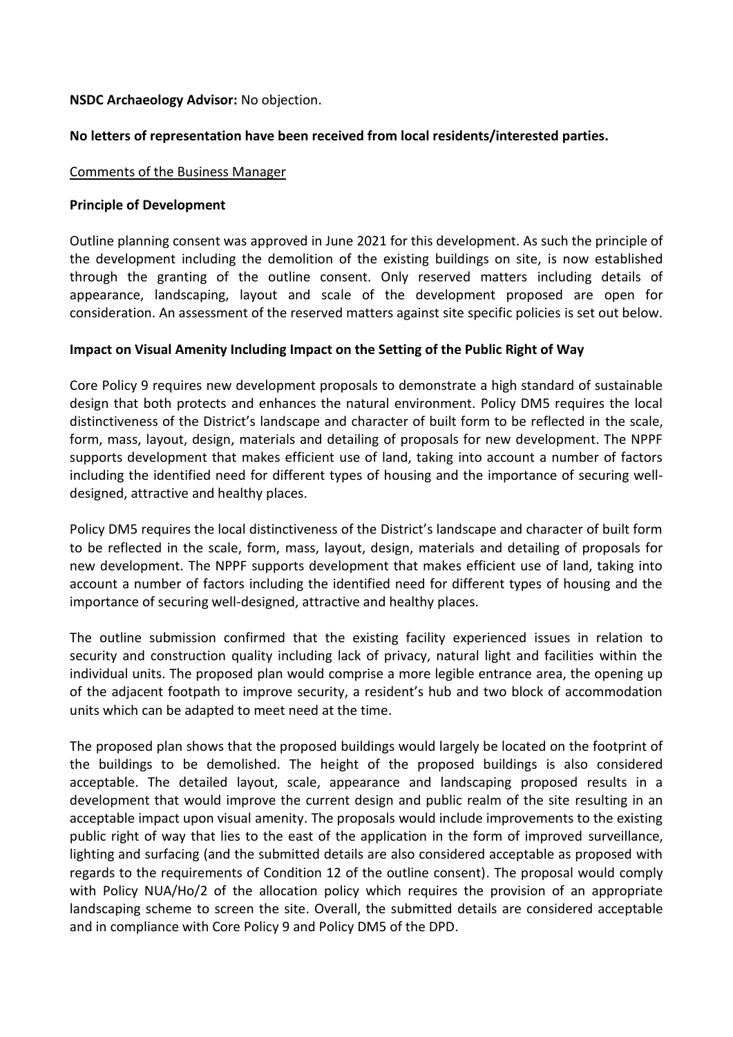### **NSDC Archaeology Advisor:** No objection.

### **No letters of representation have been received from local residents/interested parties.**

#### Comments of the Business Manager

#### **Principle of Development**

Outline planning consent was approved in June 2021 for this development. As such the principle of the development including the demolition of the existing buildings on site, is now established through the granting of the outline consent. Only reserved matters including details of appearance, landscaping, layout and scale of the development proposed are open for consideration. An assessment of the reserved matters against site specific policies is set out below.

#### **Impact on Visual Amenity Including Impact on the Setting of the Public Right of Way**

Core Policy 9 requires new development proposals to demonstrate a high standard of sustainable design that both protects and enhances the natural environment. Policy DM5 requires the local distinctiveness of the District's landscape and character of built form to be reflected in the scale, form, mass, layout, design, materials and detailing of proposals for new development. The NPPF supports development that makes efficient use of land, taking into account a number of factors including the identified need for different types of housing and the importance of securing welldesigned, attractive and healthy places.

Policy DM5 requires the local distinctiveness of the District's landscape and character of built form to be reflected in the scale, form, mass, layout, design, materials and detailing of proposals for new development. The NPPF supports development that makes efficient use of land, taking into account a number of factors including the identified need for different types of housing and the importance of securing well-designed, attractive and healthy places.

The outline submission confirmed that the existing facility experienced issues in relation to security and construction quality including lack of privacy, natural light and facilities within the individual units. The proposed plan would comprise a more legible entrance area, the opening up of the adjacent footpath to improve security, a resident's hub and two block of accommodation units which can be adapted to meet need at the time.

The proposed plan shows that the proposed buildings would largely be located on the footprint of the buildings to be demolished. The height of the proposed buildings is also considered acceptable. The detailed layout, scale, appearance and landscaping proposed results in a development that would improve the current design and public realm of the site resulting in an acceptable impact upon visual amenity. The proposals would include improvements to the existing public right of way that lies to the east of the application in the form of improved surveillance, lighting and surfacing (and the submitted details are also considered acceptable as proposed with regards to the requirements of Condition 12 of the outline consent). The proposal would comply with Policy NUA/Ho/2 of the allocation policy which requires the provision of an appropriate landscaping scheme to screen the site. Overall, the submitted details are considered acceptable and in compliance with Core Policy 9 and Policy DM5 of the DPD.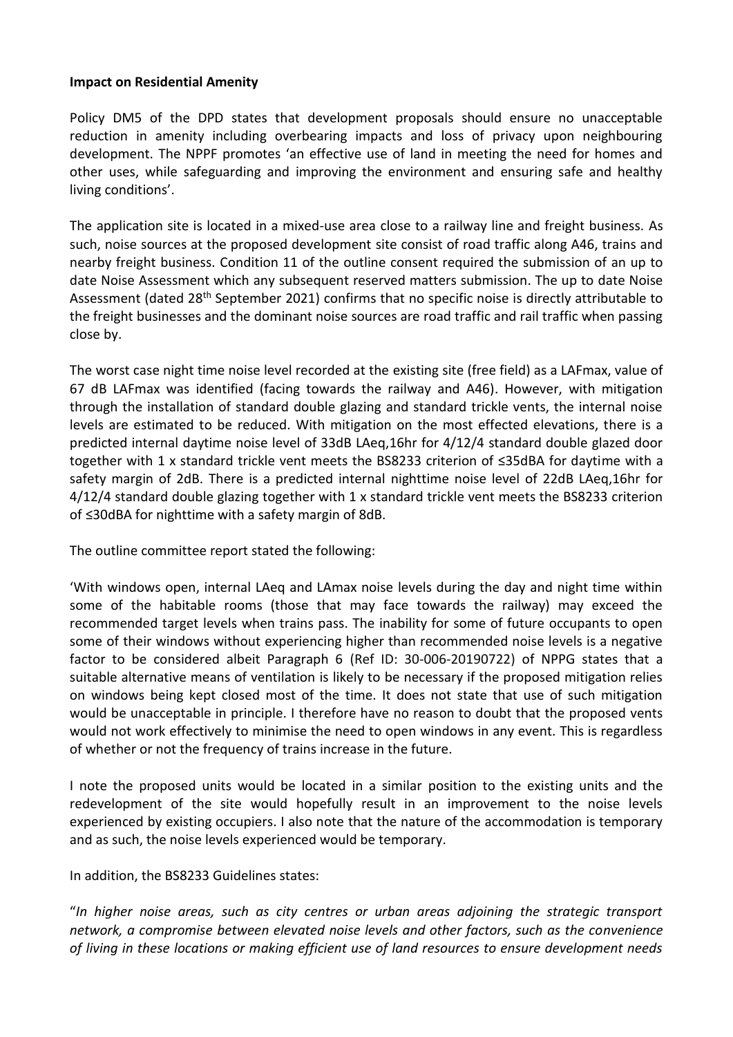#### **Impact on Residential Amenity**

Policy DM5 of the DPD states that development proposals should ensure no unacceptable reduction in amenity including overbearing impacts and loss of privacy upon neighbouring development. The NPPF promotes 'an effective use of land in meeting the need for homes and other uses, while safeguarding and improving the environment and ensuring safe and healthy living conditions'.

The application site is located in a mixed-use area close to a railway line and freight business. As such, noise sources at the proposed development site consist of road traffic along A46, trains and nearby freight business. Condition 11 of the outline consent required the submission of an up to date Noise Assessment which any subsequent reserved matters submission. The up to date Noise Assessment (dated 28th September 2021) confirms that no specific noise is directly attributable to the freight businesses and the dominant noise sources are road traffic and rail traffic when passing close by.

The worst case night time noise level recorded at the existing site (free field) as a LAFmax, value of 67 dB LAFmax was identified (facing towards the railway and A46). However, with mitigation through the installation of standard double glazing and standard trickle vents, the internal noise levels are estimated to be reduced. With mitigation on the most effected elevations, there is a predicted internal daytime noise level of 33dB LAeq,16hr for 4/12/4 standard double glazed door together with 1 x standard trickle vent meets the BS8233 criterion of ≤35dBA for daytime with a safety margin of 2dB. There is a predicted internal nighttime noise level of 22dB LAeq,16hr for 4/12/4 standard double glazing together with 1 x standard trickle vent meets the BS8233 criterion of ≤30dBA for nighttime with a safety margin of 8dB.

The outline committee report stated the following:

'With windows open, internal LAeq and LAmax noise levels during the day and night time within some of the habitable rooms (those that may face towards the railway) may exceed the recommended target levels when trains pass. The inability for some of future occupants to open some of their windows without experiencing higher than recommended noise levels is a negative factor to be considered albeit Paragraph 6 (Ref ID: 30-006-20190722) of NPPG states that a suitable alternative means of ventilation is likely to be necessary if the proposed mitigation relies on windows being kept closed most of the time. It does not state that use of such mitigation would be unacceptable in principle. I therefore have no reason to doubt that the proposed vents would not work effectively to minimise the need to open windows in any event. This is regardless of whether or not the frequency of trains increase in the future.

I note the proposed units would be located in a similar position to the existing units and the redevelopment of the site would hopefully result in an improvement to the noise levels experienced by existing occupiers. I also note that the nature of the accommodation is temporary and as such, the noise levels experienced would be temporary.

In addition, the BS8233 Guidelines states:

"*In higher noise areas, such as city centres or urban areas adjoining the strategic transport network, a compromise between elevated noise levels and other factors, such as the convenience of living in these locations or making efficient use of land resources to ensure development needs*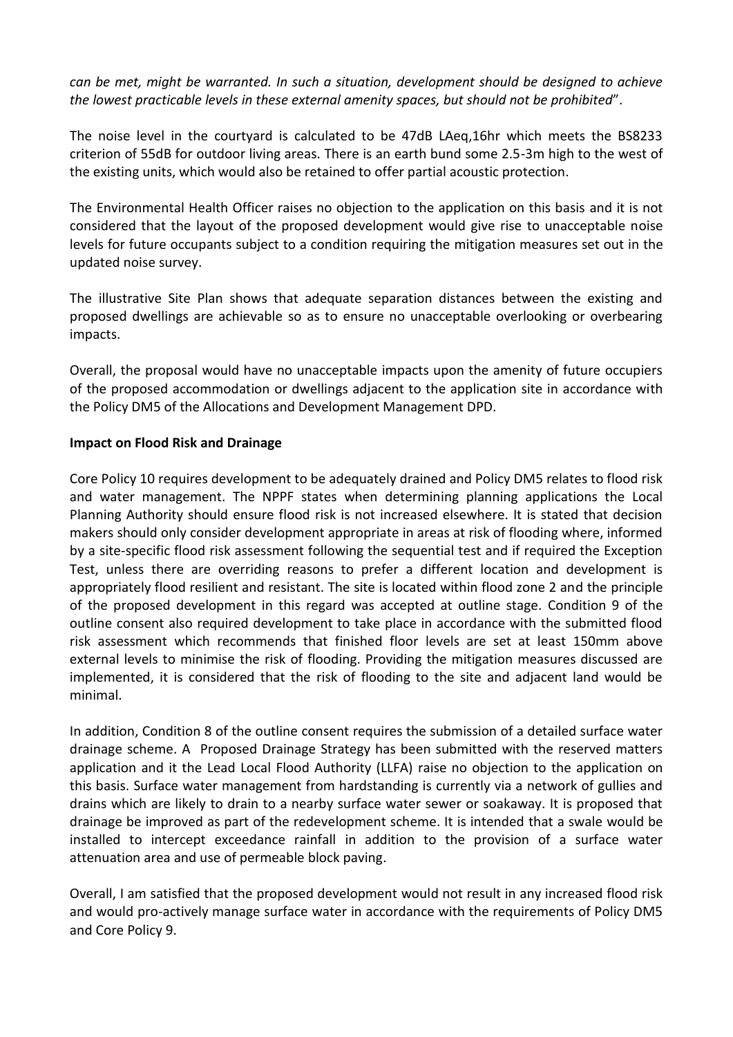*can be met, might be warranted. In such a situation, development should be designed to achieve the lowest practicable levels in these external amenity spaces, but should not be prohibited*".

The noise level in the courtyard is calculated to be 47dB LAeq,16hr which meets the BS8233 criterion of 55dB for outdoor living areas. There is an earth bund some 2.5-3m high to the west of the existing units, which would also be retained to offer partial acoustic protection.

The Environmental Health Officer raises no objection to the application on this basis and it is not considered that the layout of the proposed development would give rise to unacceptable noise levels for future occupants subject to a condition requiring the mitigation measures set out in the updated noise survey.

The illustrative Site Plan shows that adequate separation distances between the existing and proposed dwellings are achievable so as to ensure no unacceptable overlooking or overbearing impacts.

Overall, the proposal would have no unacceptable impacts upon the amenity of future occupiers of the proposed accommodation or dwellings adjacent to the application site in accordance with the Policy DM5 of the Allocations and Development Management DPD.

### **Impact on Flood Risk and Drainage**

Core Policy 10 requires development to be adequately drained and Policy DM5 relates to flood risk and water management. The NPPF states when determining planning applications the Local Planning Authority should ensure flood risk is not increased elsewhere. It is stated that decision makers should only consider development appropriate in areas at risk of flooding where, informed by a site-specific flood risk assessment following the sequential test and if required the Exception Test, unless there are overriding reasons to prefer a different location and development is appropriately flood resilient and resistant. The site is located within flood zone 2 and the principle of the proposed development in this regard was accepted at outline stage. Condition 9 of the outline consent also required development to take place in accordance with the submitted flood risk assessment which recommends that finished floor levels are set at least 150mm above external levels to minimise the risk of flooding. Providing the mitigation measures discussed are implemented, it is considered that the risk of flooding to the site and adjacent land would be minimal.

In addition, Condition 8 of the outline consent requires the submission of a detailed surface water drainage scheme. A Proposed Drainage Strategy has been submitted with the reserved matters application and it the Lead Local Flood Authority (LLFA) raise no objection to the application on this basis. Surface water management from hardstanding is currently via a network of gullies and drains which are likely to drain to a nearby surface water sewer or soakaway. It is proposed that drainage be improved as part of the redevelopment scheme. It is intended that a swale would be installed to intercept exceedance rainfall in addition to the provision of a surface water attenuation area and use of permeable block paving.

Overall, I am satisfied that the proposed development would not result in any increased flood risk and would pro-actively manage surface water in accordance with the requirements of Policy DM5 and Core Policy 9.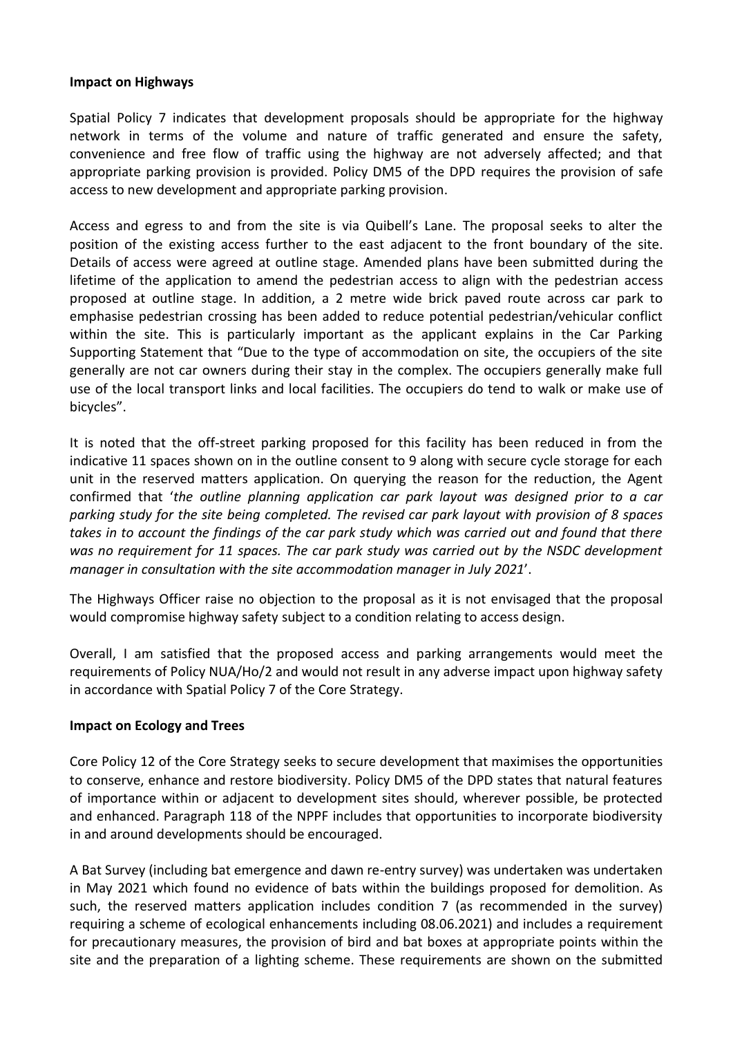#### **Impact on Highways**

Spatial Policy 7 indicates that development proposals should be appropriate for the highway network in terms of the volume and nature of traffic generated and ensure the safety, convenience and free flow of traffic using the highway are not adversely affected; and that appropriate parking provision is provided. Policy DM5 of the DPD requires the provision of safe access to new development and appropriate parking provision.

Access and egress to and from the site is via Quibell's Lane. The proposal seeks to alter the position of the existing access further to the east adjacent to the front boundary of the site. Details of access were agreed at outline stage. Amended plans have been submitted during the lifetime of the application to amend the pedestrian access to align with the pedestrian access proposed at outline stage. In addition, a 2 metre wide brick paved route across car park to emphasise pedestrian crossing has been added to reduce potential pedestrian/vehicular conflict within the site. This is particularly important as the applicant explains in the Car Parking Supporting Statement that "Due to the type of accommodation on site, the occupiers of the site generally are not car owners during their stay in the complex. The occupiers generally make full use of the local transport links and local facilities. The occupiers do tend to walk or make use of bicycles".

It is noted that the off-street parking proposed for this facility has been reduced in from the indicative 11 spaces shown on in the outline consent to 9 along with secure cycle storage for each unit in the reserved matters application. On querying the reason for the reduction, the Agent confirmed that '*the outline planning application car park layout was designed prior to a car parking study for the site being completed. The revised car park layout with provision of 8 spaces takes in to account the findings of the car park study which was carried out and found that there was no requirement for 11 spaces. The car park study was carried out by the NSDC development manager in consultation with the site accommodation manager in July 2021*'.

The Highways Officer raise no objection to the proposal as it is not envisaged that the proposal would compromise highway safety subject to a condition relating to access design.

Overall, I am satisfied that the proposed access and parking arrangements would meet the requirements of Policy NUA/Ho/2 and would not result in any adverse impact upon highway safety in accordance with Spatial Policy 7 of the Core Strategy.

#### **Impact on Ecology and Trees**

Core Policy 12 of the Core Strategy seeks to secure development that maximises the opportunities to conserve, enhance and restore biodiversity. Policy DM5 of the DPD states that natural features of importance within or adjacent to development sites should, wherever possible, be protected and enhanced. Paragraph 118 of the NPPF includes that opportunities to incorporate biodiversity in and around developments should be encouraged.

A Bat Survey (including bat emergence and dawn re-entry survey) was undertaken was undertaken in May 2021 which found no evidence of bats within the buildings proposed for demolition. As such, the reserved matters application includes condition 7 (as recommended in the survey) requiring a scheme of ecological enhancements including 08.06.2021) and includes a requirement for precautionary measures, the provision of bird and bat boxes at appropriate points within the site and the preparation of a lighting scheme. These requirements are shown on the submitted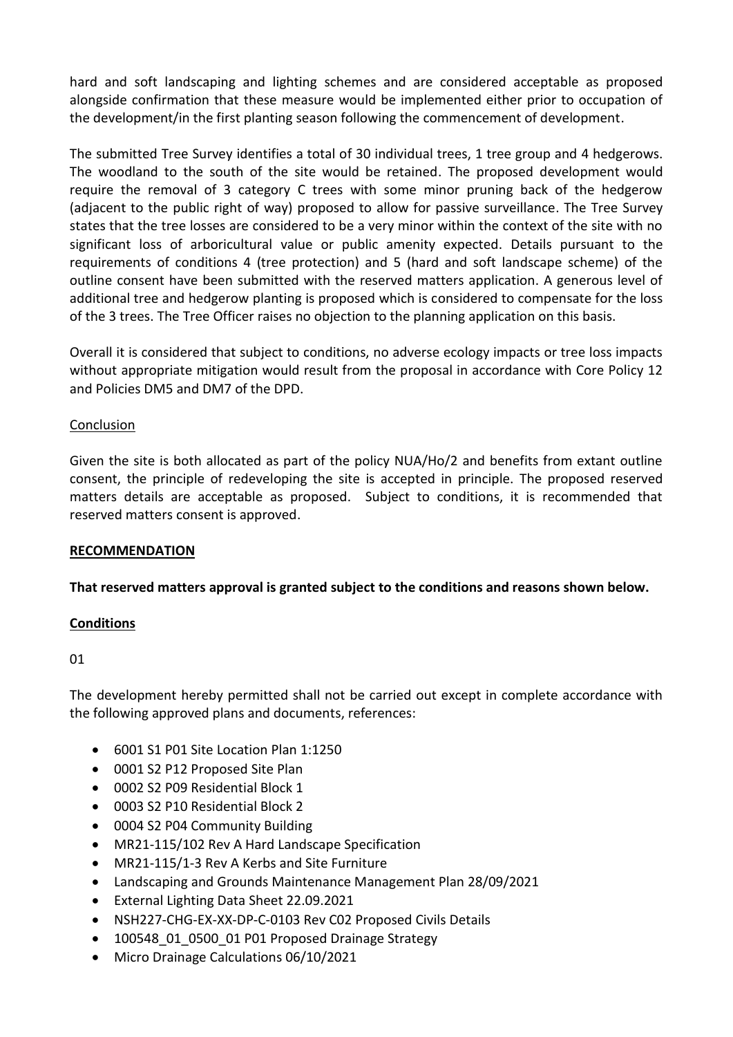hard and soft landscaping and lighting schemes and are considered acceptable as proposed alongside confirmation that these measure would be implemented either prior to occupation of the development/in the first planting season following the commencement of development.

The submitted Tree Survey identifies a total of 30 individual trees, 1 tree group and 4 hedgerows. The woodland to the south of the site would be retained. The proposed development would require the removal of 3 category C trees with some minor pruning back of the hedgerow (adjacent to the public right of way) proposed to allow for passive surveillance. The Tree Survey states that the tree losses are considered to be a very minor within the context of the site with no significant loss of arboricultural value or public amenity expected. Details pursuant to the requirements of conditions 4 (tree protection) and 5 (hard and soft landscape scheme) of the outline consent have been submitted with the reserved matters application. A generous level of additional tree and hedgerow planting is proposed which is considered to compensate for the loss of the 3 trees. The Tree Officer raises no objection to the planning application on this basis.

Overall it is considered that subject to conditions, no adverse ecology impacts or tree loss impacts without appropriate mitigation would result from the proposal in accordance with Core Policy 12 and Policies DM5 and DM7 of the DPD.

### Conclusion

Given the site is both allocated as part of the policy NUA/Ho/2 and benefits from extant outline consent, the principle of redeveloping the site is accepted in principle. The proposed reserved matters details are acceptable as proposed. Subject to conditions, it is recommended that reserved matters consent is approved.

#### **RECOMMENDATION**

## **That reserved matters approval is granted subject to the conditions and reasons shown below.**

#### **Conditions**

01

The development hereby permitted shall not be carried out except in complete accordance with the following approved plans and documents, references:

- 6001 S1 P01 Site Location Plan 1:1250
- 0001 S2 P12 Proposed Site Plan
- 0002 S2 P09 Residential Block 1
- 0003 S2 P10 Residential Block 2
- 0004 S2 P04 Community Building
- MR21-115/102 Rev A Hard Landscape Specification
- MR21-115/1-3 Rev A Kerbs and Site Furniture
- Landscaping and Grounds Maintenance Management Plan 28/09/2021
- External Lighting Data Sheet 22.09.2021
- NSH227-CHG-EX-XX-DP-C-0103 Rev C02 Proposed Civils Details
- 100548 01 0500 01 P01 Proposed Drainage Strategy
- Micro Drainage Calculations 06/10/2021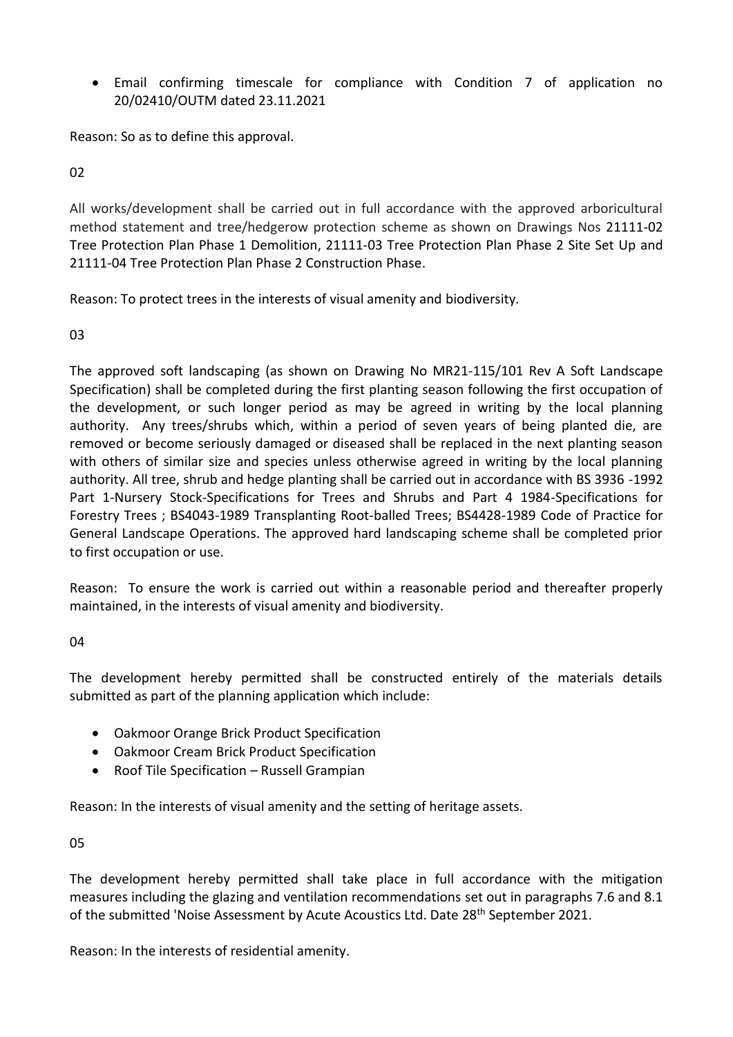Email confirming timescale for compliance with Condition 7 of application no 20/02410/OUTM dated 23.11.2021

Reason: So as to define this approval.

 $02$ 

All works/development shall be carried out in full accordance with the approved arboricultural method statement and tree/hedgerow protection scheme as shown on Drawings Nos 21111-02 Tree Protection Plan Phase 1 Demolition, 21111-03 Tree Protection Plan Phase 2 Site Set Up and 21111-04 Tree Protection Plan Phase 2 Construction Phase.

Reason: To protect trees in the interests of visual amenity and biodiversity.

03

The approved soft landscaping (as shown on Drawing No MR21-115/101 Rev A Soft Landscape Specification) shall be completed during the first planting season following the first occupation of the development, or such longer period as may be agreed in writing by the local planning authority. Any trees/shrubs which, within a period of seven years of being planted die, are removed or become seriously damaged or diseased shall be replaced in the next planting season with others of similar size and species unless otherwise agreed in writing by the local planning authority. All tree, shrub and hedge planting shall be carried out in accordance with BS 3936 -1992 Part 1-Nursery Stock-Specifications for Trees and Shrubs and Part 4 1984-Specifications for Forestry Trees ; BS4043-1989 Transplanting Root-balled Trees; BS4428-1989 Code of Practice for General Landscape Operations. The approved hard landscaping scheme shall be completed prior to first occupation or use.

Reason: To ensure the work is carried out within a reasonable period and thereafter properly maintained, in the interests of visual amenity and biodiversity.

04

The development hereby permitted shall be constructed entirely of the materials details submitted as part of the planning application which include:

- Oakmoor Orange Brick Product Specification
- Oakmoor Cream Brick Product Specification
- Roof Tile Specification Russell Grampian

Reason: In the interests of visual amenity and the setting of heritage assets.

05

The development hereby permitted shall take place in full accordance with the mitigation measures including the glazing and ventilation recommendations set out in paragraphs 7.6 and 8.1 of the submitted 'Noise Assessment by Acute Acoustics Ltd. Date 28<sup>th</sup> September 2021.

Reason: In the interests of residential amenity.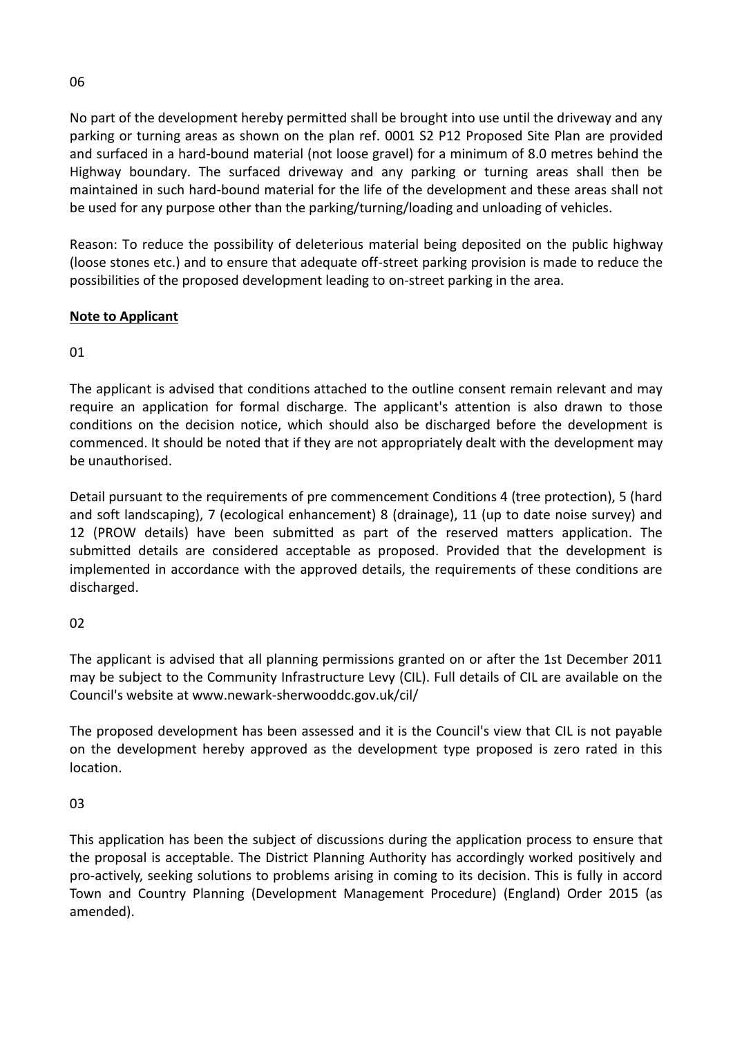No part of the development hereby permitted shall be brought into use until the driveway and any parking or turning areas as shown on the plan ref. 0001 S2 P12 Proposed Site Plan are provided and surfaced in a hard-bound material (not loose gravel) for a minimum of 8.0 metres behind the Highway boundary. The surfaced driveway and any parking or turning areas shall then be maintained in such hard-bound material for the life of the development and these areas shall not be used for any purpose other than the parking/turning/loading and unloading of vehicles.

Reason: To reduce the possibility of deleterious material being deposited on the public highway (loose stones etc.) and to ensure that adequate off-street parking provision is made to reduce the possibilities of the proposed development leading to on-street parking in the area.

# **Note to Applicant**

01

The applicant is advised that conditions attached to the outline consent remain relevant and may require an application for formal discharge. The applicant's attention is also drawn to those conditions on the decision notice, which should also be discharged before the development is commenced. It should be noted that if they are not appropriately dealt with the development may be unauthorised.

Detail pursuant to the requirements of pre commencement Conditions 4 (tree protection), 5 (hard and soft landscaping), 7 (ecological enhancement) 8 (drainage), 11 (up to date noise survey) and 12 (PROW details) have been submitted as part of the reserved matters application. The submitted details are considered acceptable as proposed. Provided that the development is implemented in accordance with the approved details, the requirements of these conditions are discharged.

02

The applicant is advised that all planning permissions granted on or after the 1st December 2011 may be subject to the Community Infrastructure Levy (CIL). Full details of CIL are available on the Council's website at www.newark-sherwooddc.gov.uk/cil/

The proposed development has been assessed and it is the Council's view that CIL is not payable on the development hereby approved as the development type proposed is zero rated in this location.

03

This application has been the subject of discussions during the application process to ensure that the proposal is acceptable. The District Planning Authority has accordingly worked positively and pro-actively, seeking solutions to problems arising in coming to its decision. This is fully in accord Town and Country Planning (Development Management Procedure) (England) Order 2015 (as amended).

06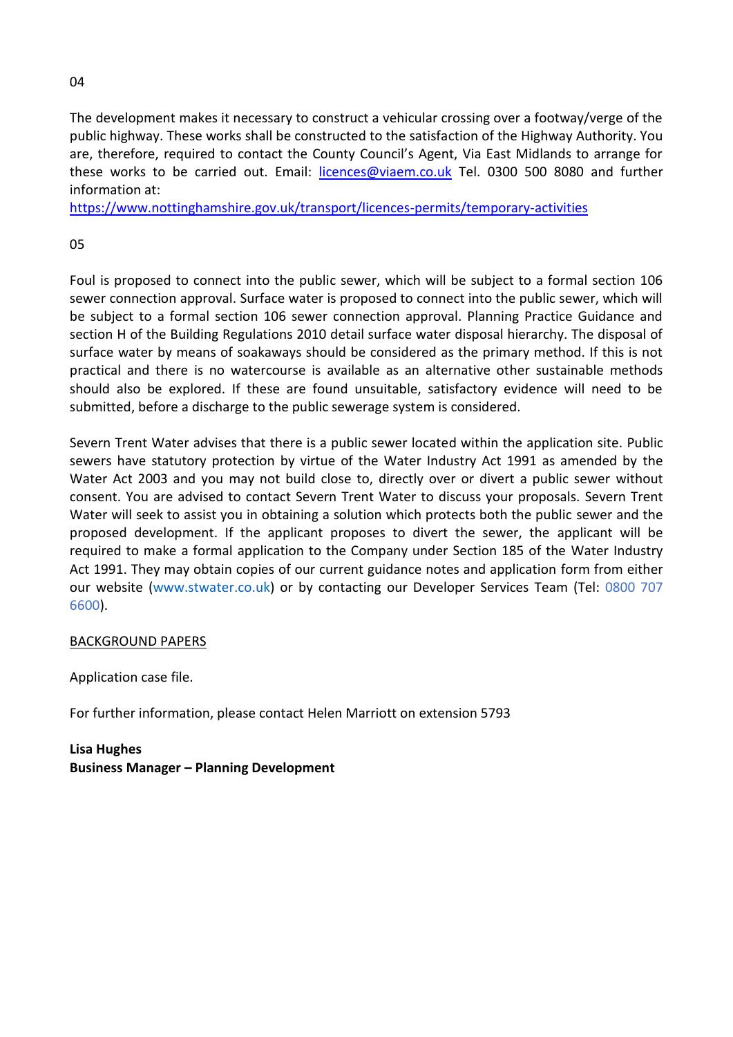#### 04

The development makes it necessary to construct a vehicular crossing over a footway/verge of the public highway. These works shall be constructed to the satisfaction of the Highway Authority. You are, therefore, required to contact the County Council's Agent, Via East Midlands to arrange for these works to be carried out. Email: [licences@viaem.co.uk](mailto:licences@viaem.co.uk) Tel. 0300 500 8080 and further information at:

<https://www.nottinghamshire.gov.uk/transport/licences-permits/temporary-activities>

### 05

Foul is proposed to connect into the public sewer, which will be subject to a formal section 106 sewer connection approval. Surface water is proposed to connect into the public sewer, which will be subject to a formal section 106 sewer connection approval. Planning Practice Guidance and section H of the Building Regulations 2010 detail surface water disposal hierarchy. The disposal of surface water by means of soakaways should be considered as the primary method. If this is not practical and there is no watercourse is available as an alternative other sustainable methods should also be explored. If these are found unsuitable, satisfactory evidence will need to be submitted, before a discharge to the public sewerage system is considered.

Severn Trent Water advises that there is a public sewer located within the application site. Public sewers have statutory protection by virtue of the Water Industry Act 1991 as amended by the Water Act 2003 and you may not build close to, directly over or divert a public sewer without consent. You are advised to contact Severn Trent Water to discuss your proposals. Severn Trent Water will seek to assist you in obtaining a solution which protects both the public sewer and the proposed development. If the applicant proposes to divert the sewer, the applicant will be required to make a formal application to the Company under Section 185 of the Water Industry Act 1991. They may obtain copies of our current guidance notes and application form from either our website (www.stwater.co.uk) or by contacting our Developer Services Team (Tel: 0800 707 6600).

#### BACKGROUND PAPERS

Application case file.

For further information, please contact Helen Marriott on extension 5793

**Lisa Hughes Business Manager – Planning Development**